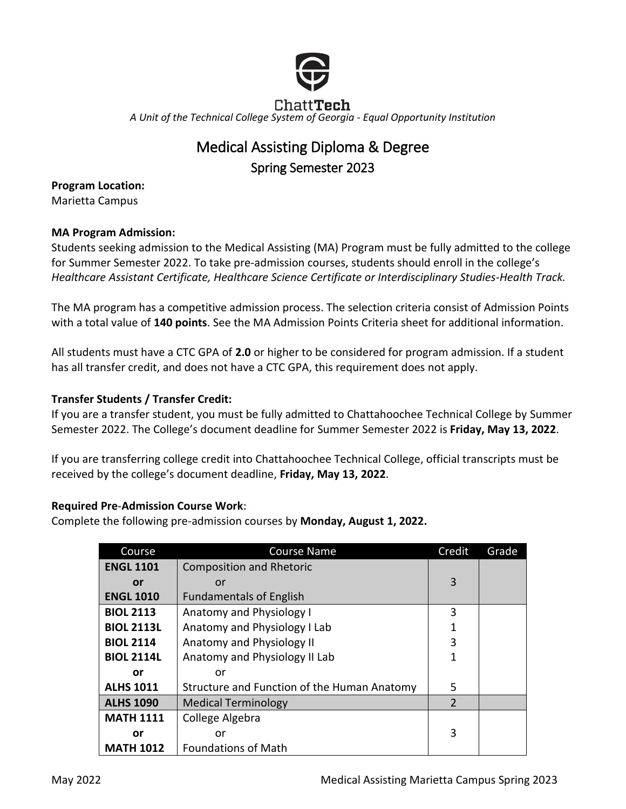

# Chatt**Tech** *A Unit of the Technical College System of Georgia - Equal Opportunity Institution*

# Medical Assisting Diploma & Degree Spring Semester 2023

**Program Location:** Marietta Campus

## **MA Program Admission:**

Students seeking admission to the Medical Assisting (MA) Program must be fully admitted to the college for Summer Semester 2022. To take pre-admission courses, students should enroll in the college's *Healthcare Assistant Certificate, Healthcare Science Certificate or Interdisciplinary Studies-Health Track.* 

The MA program has a competitive admission process. The selection criteria consist of Admission Points with a total value of **140 points**. See the MA Admission Points Criteria sheet for additional information.

All students must have a CTC GPA of **2.0** or higher to be considered for program admission. If a student has all transfer credit, and does not have a CTC GPA, this requirement does not apply.

# **Transfer Students / Transfer Credit:**

If you are a transfer student, you must be fully admitted to Chattahoochee Technical College by Summer Semester 2022. The College's document deadline for Summer Semester 2022 is **Friday, May 13, 2022**.

If you are transferring college credit into Chattahoochee Technical College, official transcripts must be received by the college's document deadline, **Friday, May 13, 2022**.

## **Required Pre-Admission Course Work:**

Complete the following pre-admission courses by **Monday, August 1, 2022.**

| Course            | <b>Course Name</b>                          | Credit        | Grade |
|-------------------|---------------------------------------------|---------------|-------|
| <b>ENGL 1101</b>  | <b>Composition and Rhetoric</b>             |               |       |
| <b>or</b>         | or                                          | 3             |       |
| <b>ENGL 1010</b>  | <b>Fundamentals of English</b>              |               |       |
| <b>BIOL 2113</b>  | Anatomy and Physiology I                    | 3             |       |
| <b>BIOL 2113L</b> | Anatomy and Physiology I Lab                | 1             |       |
| <b>BIOL 2114</b>  | Anatomy and Physiology II                   | 3             |       |
| <b>BIOL 2114L</b> | Anatomy and Physiology II Lab               | 1             |       |
| or                | or                                          |               |       |
| <b>ALHS 1011</b>  | Structure and Function of the Human Anatomy | 5             |       |
| <b>ALHS 1090</b>  | <b>Medical Terminology</b>                  | $\mathcal{P}$ |       |
| <b>MATH 1111</b>  | College Algebra                             |               |       |
| or                | or                                          | 3             |       |
| <b>MATH 1012</b>  | <b>Foundations of Math</b>                  |               |       |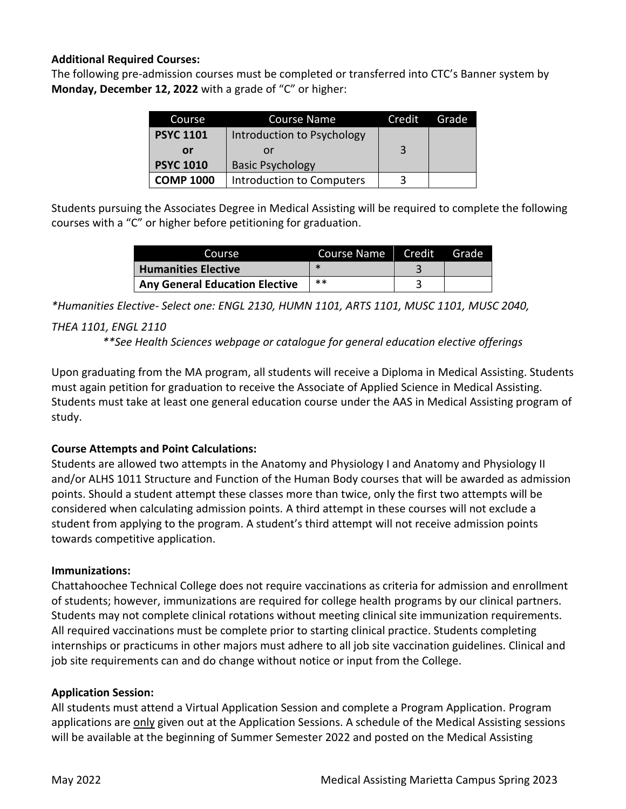#### **Additional Required Courses:**

The following pre-admission courses must be completed or transferred into CTC's Banner system by **Monday, December 12, 2022** with a grade of "C" or higher:

| Course           | Course Name                | Credit | Grade |
|------------------|----------------------------|--------|-------|
| <b>PSYC 1101</b> | Introduction to Psychology |        |       |
| or               | or                         | 3      |       |
| <b>PSYC 1010</b> | <b>Basic Psychology</b>    |        |       |
| <b>COMP 1000</b> | Introduction to Computers  | 3      |       |

Students pursuing the Associates Degree in Medical Assisting will be required to complete the following courses with a "C" or higher before petitioning for graduation.

| Course                                | Course Name Credit | <b>TGrade</b> |
|---------------------------------------|--------------------|---------------|
| <b>Humanities Elective</b>            |                    |               |
| <b>Any General Education Elective</b> | $***$              |               |

*\*Humanities Elective- Select one: ENGL 2130, HUMN 1101, ARTS 1101, MUSC 1101, MUSC 2040,* 

## *THEA 1101, ENGL 2110*

*\*\*See Health Sciences webpage or catalogue for general education elective offerings*

Upon graduating from the MA program, all students will receive a Diploma in Medical Assisting. Students must again petition for graduation to receive the Associate of Applied Science in Medical Assisting. Students must take at least one general education course under the AAS in Medical Assisting program of study.

## **Course Attempts and Point Calculations:**

Students are allowed two attempts in the Anatomy and Physiology I and Anatomy and Physiology II and/or ALHS 1011 Structure and Function of the Human Body courses that will be awarded as admission points. Should a student attempt these classes more than twice, only the first two attempts will be considered when calculating admission points. A third attempt in these courses will not exclude a student from applying to the program. A student's third attempt will not receive admission points towards competitive application.

## **Immunizations:**

Chattahoochee Technical College does not require vaccinations as criteria for admission and enrollment of students; however, immunizations are required for college health programs by our clinical partners. Students may not complete clinical rotations without meeting clinical site immunization requirements. All required vaccinations must be complete prior to starting clinical practice. Students completing internships or practicums in other majors must adhere to all job site vaccination guidelines. Clinical and job site requirements can and do change without notice or input from the College.

## **Application Session:**

All students must attend a Virtual Application Session and complete a Program Application. Program applications are only given out at the Application Sessions. A schedule of the Medical Assisting sessions will be available at the beginning of Summer Semester 2022 and posted on the Medical Assisting